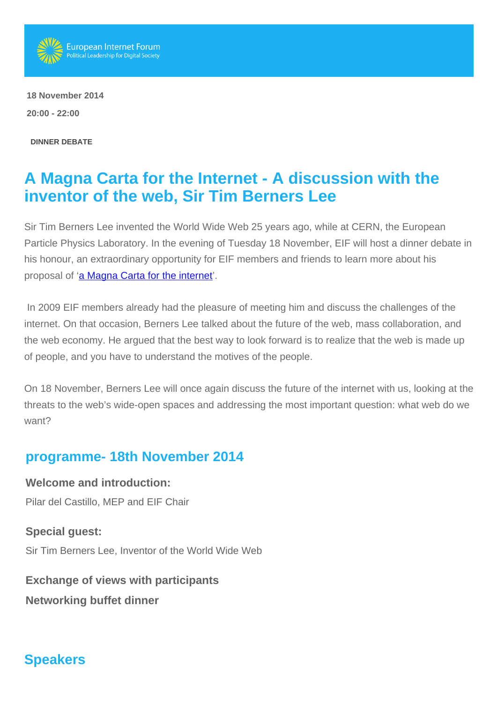

 **18 November 2014 20:00 - 22:00** 

**DINNER DEBATE**

## **A Magna Carta for the Internet - A discussion with the inventor of the web, Sir Tim Berners Lee**

Sir Tim Berners Lee invented the World Wide Web 25 years ago, while at CERN, the European Particle Physics Laboratory. In the evening of Tuesday 18 November, EIF will host a dinner debate in his honour, an extraordinary opportunity for EIF members and friends to learn more about his proposal of ['a Magna Carta for the internet'](http://www.ted.com/talks/tim_berners_lee_a_magna_carta_for_the_web).

 In 2009 EIF members already had the pleasure of meeting him and discuss the challenges of the internet. On that occasion, Berners Lee talked about the future of the web, mass collaboration, and the web economy. He argued that the best way to look forward is to realize that the web is made up of people, and you have to understand the motives of the people.

On 18 November, Berners Lee will once again discuss the future of the internet with us, looking at the threats to the web's wide-open spaces and addressing the most important question: what web do we want?

## **programme- 18th November 2014**

**Welcome and introduction:** Pilar del Castillo, MEP and EIF Chair

**Special guest:** Sir Tim Berners Lee, Inventor of the World Wide Web

**Exchange of views with participants Networking buffet dinner**

## **Speakers**